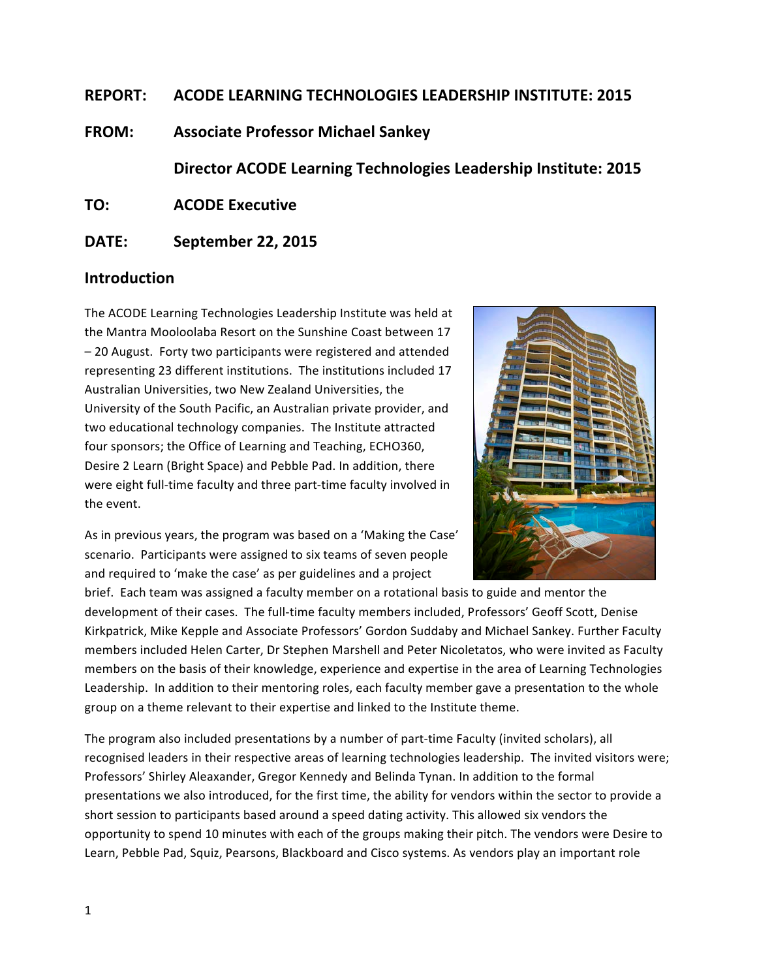# **REPORT: ACODE LEARNING TECHNOLOGIES LEADERSHIP INSTITUTE: 2015**

**FROM: Associate Professor Michael Sankey**

**Director ACODE Learning Technologies Leadership Institute: 2015** 

**TO: ACODE** Executive

# **DATE: September 22, 2015**

# **Introduction**

The ACODE Learning Technologies Leadership Institute was held at the Mantra Mooloolaba Resort on the Sunshine Coast between 17 – 20 August. Forty two participants were registered and attended representing 23 different institutions. The institutions included 17 Australian Universities, two New Zealand Universities, the University of the South Pacific, an Australian private provider, and two educational technology companies. The Institute attracted four sponsors; the Office of Learning and Teaching, ECHO360, Desire 2 Learn (Bright Space) and Pebble Pad. In addition, there were eight full-time faculty and three part-time faculty involved in the event.



As in previous years, the program was based on a 'Making the Case' scenario. Participants were assigned to six teams of seven people and required to 'make the case' as per guidelines and a project

brief. Each team was assigned a faculty member on a rotational basis to guide and mentor the development of their cases. The full-time faculty members included, Professors' Geoff Scott, Denise Kirkpatrick, Mike Kepple and Associate Professors' Gordon Suddaby and Michael Sankey. Further Faculty members included Helen Carter, Dr Stephen Marshell and Peter Nicoletatos, who were invited as Faculty members on the basis of their knowledge, experience and expertise in the area of Learning Technologies Leadership. In addition to their mentoring roles, each faculty member gave a presentation to the whole group on a theme relevant to their expertise and linked to the Institute theme.

The program also included presentations by a number of part-time Faculty (invited scholars), all recognised leaders in their respective areas of learning technologies leadership. The invited visitors were; Professors' Shirley Aleaxander, Gregor Kennedy and Belinda Tynan. In addition to the formal presentations we also introduced, for the first time, the ability for vendors within the sector to provide a short session to participants based around a speed dating activity. This allowed six vendors the opportunity to spend 10 minutes with each of the groups making their pitch. The vendors were Desire to Learn, Pebble Pad, Squiz, Pearsons, Blackboard and Cisco systems. As vendors play an important role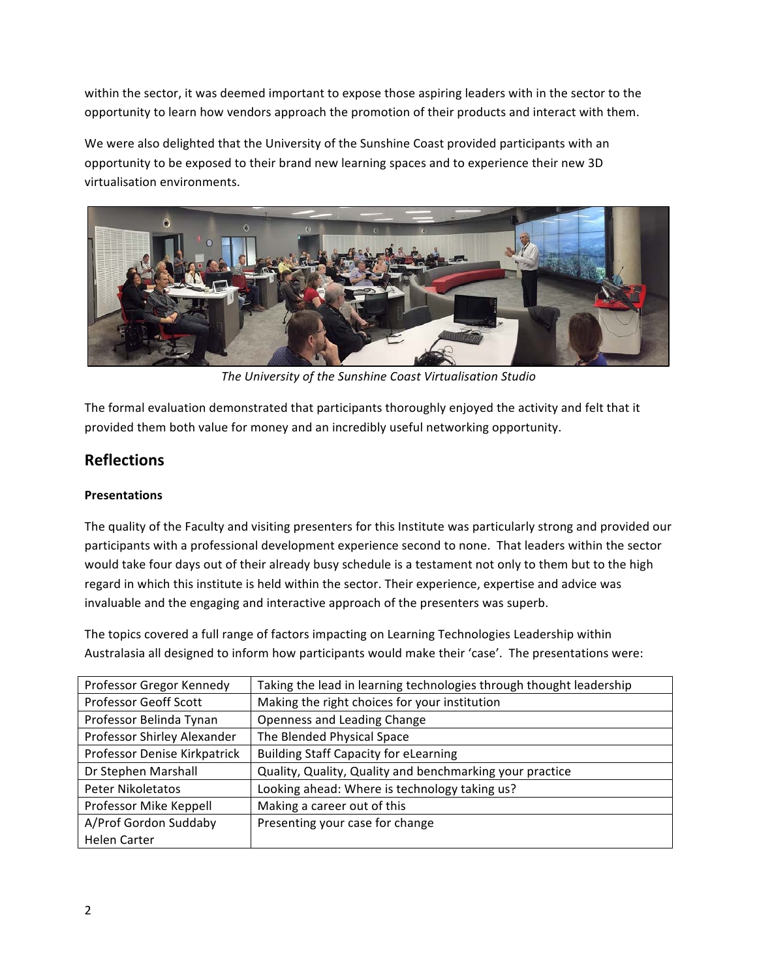within the sector, it was deemed important to expose those aspiring leaders with in the sector to the opportunity to learn how vendors approach the promotion of their products and interact with them.

We were also delighted that the University of the Sunshine Coast provided participants with an opportunity to be exposed to their brand new learning spaces and to experience their new 3D virtualisation environments.



The University of the Sunshine Coast Virtualisation Studio

The formal evaluation demonstrated that participants thoroughly enjoyed the activity and felt that it provided them both value for money and an incredibly useful networking opportunity.

# **Reflections**

### **Presentations**

The quality of the Faculty and visiting presenters for this Institute was particularly strong and provided our participants with a professional development experience second to none. That leaders within the sector would take four days out of their already busy schedule is a testament not only to them but to the high regard in which this institute is held within the sector. Their experience, expertise and advice was invaluable and the engaging and interactive approach of the presenters was superb.

The topics covered a full range of factors impacting on Learning Technologies Leadership within Australasia all designed to inform how participants would make their 'case'. The presentations were:

| Professor Gregor Kennedy     | Taking the lead in learning technologies through thought leadership |
|------------------------------|---------------------------------------------------------------------|
| <b>Professor Geoff Scott</b> | Making the right choices for your institution                       |
| Professor Belinda Tynan      | Openness and Leading Change                                         |
| Professor Shirley Alexander  | The Blended Physical Space                                          |
| Professor Denise Kirkpatrick | <b>Building Staff Capacity for eLearning</b>                        |
| Dr Stephen Marshall          | Quality, Quality, Quality and benchmarking your practice            |
| Peter Nikoletatos            | Looking ahead: Where is technology taking us?                       |
| Professor Mike Keppell       | Making a career out of this                                         |
| A/Prof Gordon Suddaby        | Presenting your case for change                                     |
| Helen Carter                 |                                                                     |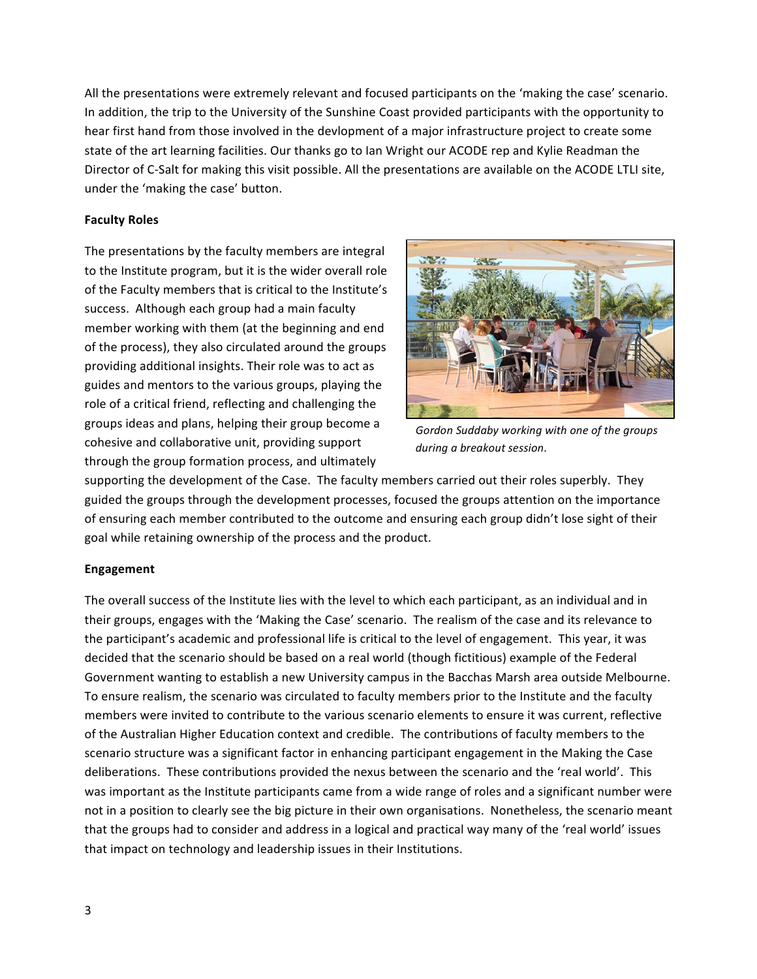All the presentations were extremely relevant and focused participants on the 'making the case' scenario. In addition, the trip to the University of the Sunshine Coast provided participants with the opportunity to hear first hand from those involved in the devlopment of a major infrastructure project to create some state of the art learning facilities. Our thanks go to Ian Wright our ACODE rep and Kylie Readman the Director of C-Salt for making this visit possible. All the presentations are available on the ACODE LTLI site, under the 'making the case' button.

#### **Faculty Roles**

The presentations by the faculty members are integral to the Institute program, but it is the wider overall role of the Faculty members that is critical to the Institute's success. Although each group had a main faculty member working with them (at the beginning and end of the process), they also circulated around the groups providing additional insights. Their role was to act as guides and mentors to the various groups, playing the role of a critical friend, reflecting and challenging the groups ideas and plans, helping their group become a cohesive and collaborative unit, providing support through the group formation process, and ultimately



Gordon Suddaby working with one of the groups *during a breakout session.*

supporting the development of the Case. The faculty members carried out their roles superbly. They guided the groups through the development processes, focused the groups attention on the importance of ensuring each member contributed to the outcome and ensuring each group didn't lose sight of their goal while retaining ownership of the process and the product.

#### **Engagement**

The overall success of the Institute lies with the level to which each participant, as an individual and in their groups, engages with the 'Making the Case' scenario. The realism of the case and its relevance to the participant's academic and professional life is critical to the level of engagement. This year, it was decided that the scenario should be based on a real world (though fictitious) example of the Federal Government wanting to establish a new University campus in the Bacchas Marsh area outside Melbourne. To ensure realism, the scenario was circulated to faculty members prior to the Institute and the faculty members were invited to contribute to the various scenario elements to ensure it was current, reflective of the Australian Higher Education context and credible. The contributions of faculty members to the scenario structure was a significant factor in enhancing participant engagement in the Making the Case deliberations. These contributions provided the nexus between the scenario and the 'real world'. This was important as the Institute participants came from a wide range of roles and a significant number were not in a position to clearly see the big picture in their own organisations. Nonetheless, the scenario meant that the groups had to consider and address in a logical and practical way many of the 'real world' issues that impact on technology and leadership issues in their Institutions.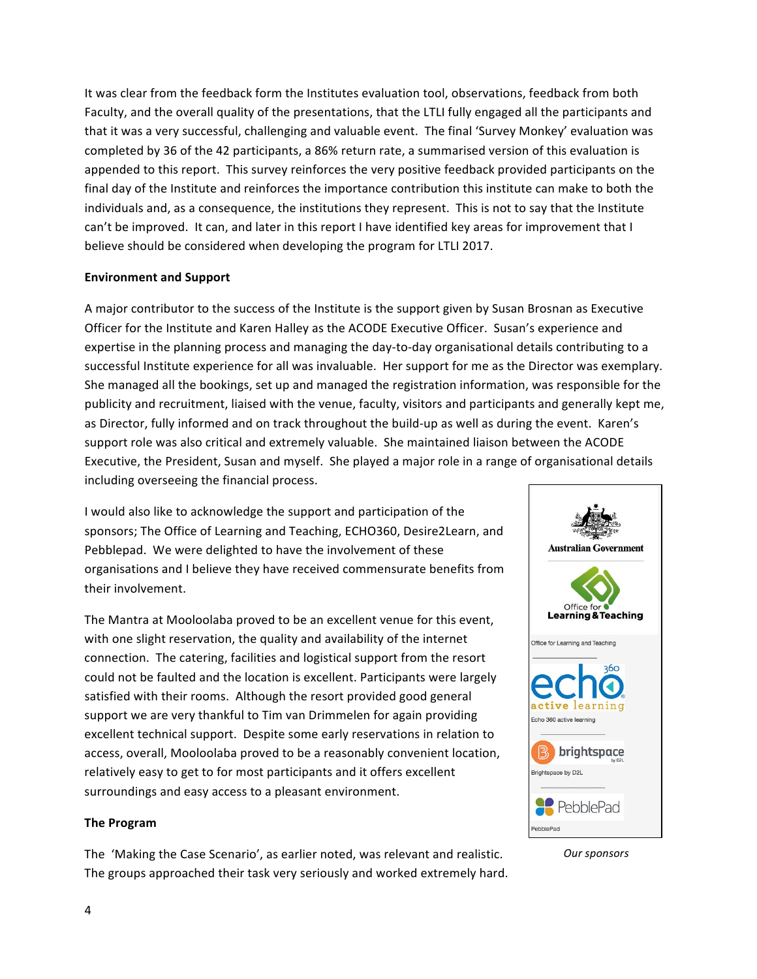It was clear from the feedback form the Institutes evaluation tool, observations, feedback from both Faculty, and the overall quality of the presentations, that the LTLI fully engaged all the participants and that it was a very successful, challenging and valuable event. The final 'Survey Monkey' evaluation was completed by 36 of the 42 participants, a 86% return rate, a summarised version of this evaluation is appended to this report. This survey reinforces the very positive feedback provided participants on the final day of the Institute and reinforces the importance contribution this institute can make to both the individuals and, as a consequence, the institutions they represent. This is not to say that the Institute can't be improved. It can, and later in this report I have identified key areas for improvement that I believe should be considered when developing the program for LTLI 2017.

#### **Environment and Support**

A major contributor to the success of the Institute is the support given by Susan Brosnan as Executive Officer for the Institute and Karen Halley as the ACODE Executive Officer. Susan's experience and expertise in the planning process and managing the day-to-day organisational details contributing to a successful Institute experience for all was invaluable. Her support for me as the Director was exemplary. She managed all the bookings, set up and managed the registration information, was responsible for the publicity and recruitment, liaised with the venue, faculty, visitors and participants and generally kept me, as Director, fully informed and on track throughout the build-up as well as during the event. Karen's support role was also critical and extremely valuable. She maintained liaison between the ACODE Executive, the President, Susan and myself. She played a major role in a range of organisational details including overseeing the financial process.

I would also like to acknowledge the support and participation of the sponsors; The Office of Learning and Teaching, ECHO360, Desire2Learn, and Pebblepad. We were delighted to have the involvement of these organisations and I believe they have received commensurate benefits from their involvement.

The Mantra at Mooloolaba proved to be an excellent venue for this event, with one slight reservation, the quality and availability of the internet connection. The catering, facilities and logistical support from the resort could not be faulted and the location is excellent. Participants were largely satisfied with their rooms. Although the resort provided good general support we are very thankful to Tim van Drimmelen for again providing excellent technical support. Despite some early reservations in relation to access, overall, Mooloolaba proved to be a reasonably convenient location, relatively easy to get to for most participants and it offers excellent surroundings and easy access to a pleasant environment.

#### **The Program**

The 'Making the Case Scenario', as earlier noted, was relevant and realistic. The groups approached their task very seriously and worked extremely hard.



*Our sponsors*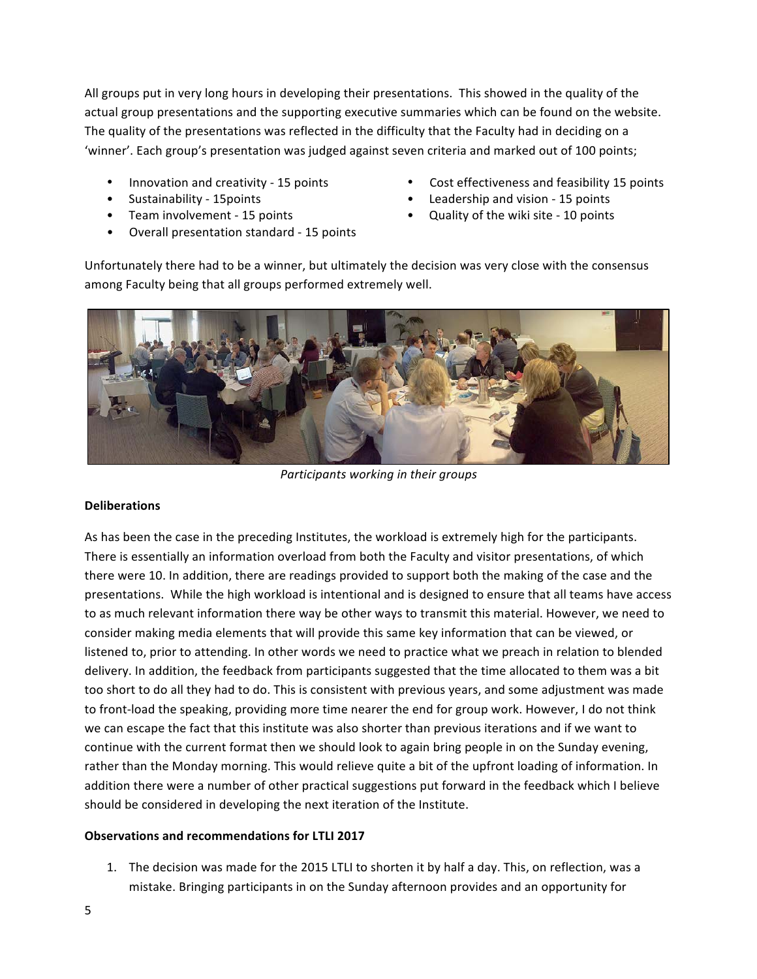All groups put in very long hours in developing their presentations. This showed in the quality of the actual group presentations and the supporting executive summaries which can be found on the website. The quality of the presentations was reflected in the difficulty that the Faculty had in deciding on a 'winner'. Each group's presentation was judged against seven criteria and marked out of 100 points;

- 
- 
- 
- Overall presentation standard 15 points
- Innovation and creativity 15 points Cost effectiveness and feasibility 15 points
- Sustainability 15 points **•** Leadership and vision 15 points
- Team involvement 15 points  **Cuality of the wiki site 10 points**

Unfortunately there had to be a winner, but ultimately the decision was very close with the consensus among Faculty being that all groups performed extremely well.



*Participants working in their groups*

#### **Deliberations**

As has been the case in the preceding Institutes, the workload is extremely high for the participants. There is essentially an information overload from both the Faculty and visitor presentations, of which there were 10. In addition, there are readings provided to support both the making of the case and the presentations. While the high workload is intentional and is designed to ensure that all teams have access to as much relevant information there way be other ways to transmit this material. However, we need to consider making media elements that will provide this same key information that can be viewed, or listened to, prior to attending. In other words we need to practice what we preach in relation to blended delivery. In addition, the feedback from participants suggested that the time allocated to them was a bit too short to do all they had to do. This is consistent with previous years, and some adjustment was made to front-load the speaking, providing more time nearer the end for group work. However, I do not think we can escape the fact that this institute was also shorter than previous iterations and if we want to continue with the current format then we should look to again bring people in on the Sunday evening, rather than the Monday morning. This would relieve quite a bit of the upfront loading of information. In addition there were a number of other practical suggestions put forward in the feedback which I believe should be considered in developing the next iteration of the Institute.

#### **Observations and recommendations for LTLI 2017**

1. The decision was made for the 2015 LTLI to shorten it by half a day. This, on reflection, was a mistake. Bringing participants in on the Sunday afternoon provides and an opportunity for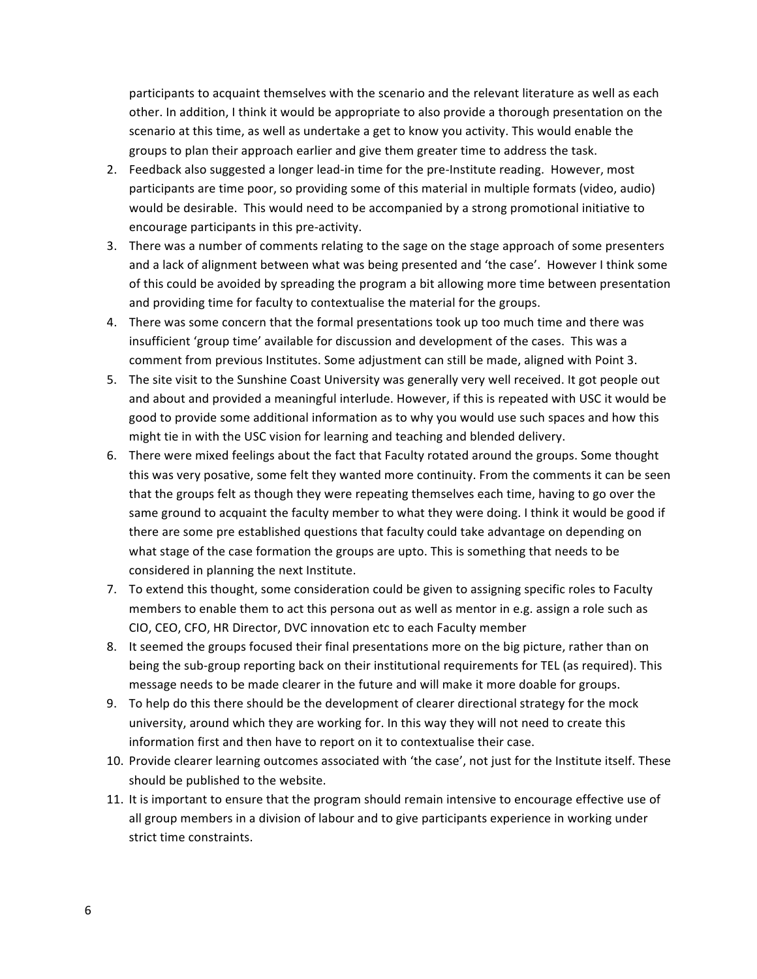participants to acquaint themselves with the scenario and the relevant literature as well as each other. In addition, I think it would be appropriate to also provide a thorough presentation on the scenario at this time, as well as undertake a get to know you activity. This would enable the groups to plan their approach earlier and give them greater time to address the task.

- 2. Feedback also suggested a longer lead-in time for the pre-Institute reading. However, most participants are time poor, so providing some of this material in multiple formats (video, audio) would be desirable. This would need to be accompanied by a strong promotional initiative to encourage participants in this pre-activity.
- 3. There was a number of comments relating to the sage on the stage approach of some presenters and a lack of alignment between what was being presented and 'the case'. However I think some of this could be avoided by spreading the program a bit allowing more time between presentation and providing time for faculty to contextualise the material for the groups.
- 4. There was some concern that the formal presentations took up too much time and there was insufficient 'group time' available for discussion and development of the cases. This was a comment from previous Institutes. Some adjustment can still be made, aligned with Point 3.
- 5. The site visit to the Sunshine Coast University was generally very well received. It got people out and about and provided a meaningful interlude. However, if this is repeated with USC it would be good to provide some additional information as to why you would use such spaces and how this might tie in with the USC vision for learning and teaching and blended delivery.
- 6. There were mixed feelings about the fact that Faculty rotated around the groups. Some thought this was very posative, some felt they wanted more continuity. From the comments it can be seen that the groups felt as though they were repeating themselves each time, having to go over the same ground to acquaint the faculty member to what they were doing. I think it would be good if there are some pre established questions that faculty could take advantage on depending on what stage of the case formation the groups are upto. This is something that needs to be considered in planning the next Institute.
- 7. To extend this thought, some consideration could be given to assigning specific roles to Faculty members to enable them to act this persona out as well as mentor in e.g. assign a role such as CIO, CEO, CFO, HR Director, DVC innovation etc to each Faculty member
- 8. It seemed the groups focused their final presentations more on the big picture, rather than on being the sub-group reporting back on their institutional requirements for TEL (as required). This message needs to be made clearer in the future and will make it more doable for groups.
- 9. To help do this there should be the development of clearer directional strategy for the mock university, around which they are working for. In this way they will not need to create this information first and then have to report on it to contextualise their case.
- 10. Provide clearer learning outcomes associated with 'the case', not just for the Institute itself. These should be published to the website.
- 11. It is important to ensure that the program should remain intensive to encourage effective use of all group members in a division of labour and to give participants experience in working under strict time constraints.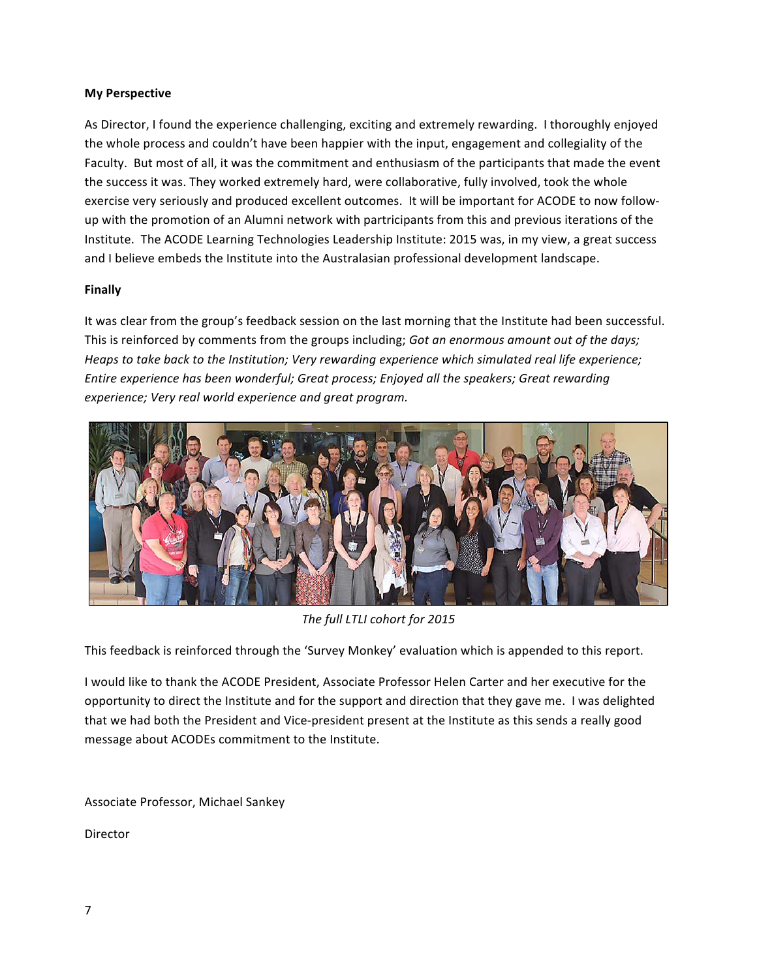#### **My Perspective**

As Director, I found the experience challenging, exciting and extremely rewarding. I thoroughly enjoyed the whole process and couldn't have been happier with the input, engagement and collegiality of the Faculty. But most of all, it was the commitment and enthusiasm of the participants that made the event the success it was. They worked extremely hard, were collaborative, fully involved, took the whole exercise very seriously and produced excellent outcomes. It will be important for ACODE to now followup with the promotion of an Alumni network with partricipants from this and previous iterations of the Institute. The ACODE Learning Technologies Leadership Institute: 2015 was, in my view, a great success and I believe embeds the Institute into the Australasian professional development landscape.

#### **Finally**

It was clear from the group's feedback session on the last morning that the Institute had been successful. This is reinforced by comments from the groups including; Got an enormous amount out of the days; Heaps to take back to the Institution; Very rewarding experience which simulated real life experience; Entire experience has been wonderful; Great process; Enjoyed all the speakers; Great rewarding *experience; Very real world experience and great program.*



The full LTLI cohort for 2015

This feedback is reinforced through the 'Survey Monkey' evaluation which is appended to this report.

I would like to thank the ACODE President, Associate Professor Helen Carter and her executive for the opportunity to direct the Institute and for the support and direction that they gave me. I was delighted that we had both the President and Vice-president present at the Institute as this sends a really good message about ACODEs commitment to the Institute.

Associate Professor, Michael Sankey

Director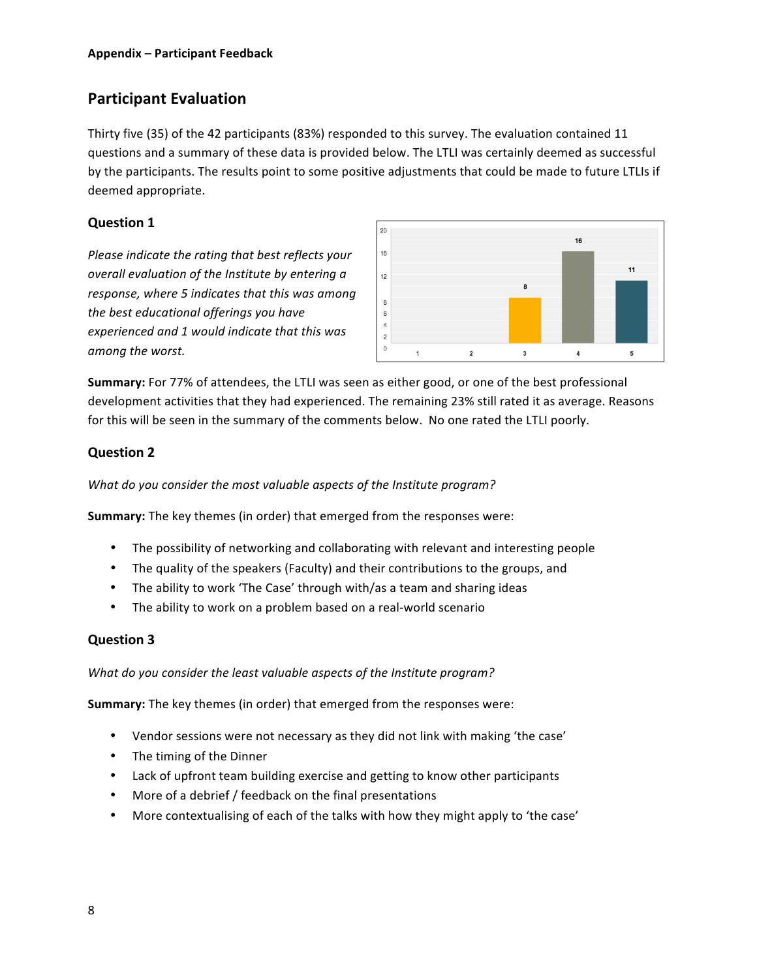# **Participant Evaluation**

Thirty five (35) of the 42 participants (83%) responded to this survey. The evaluation contained 11 questions and a summary of these data is provided below. The LTLI was certainly deemed as successful by the participants. The results point to some positive adjustments that could be made to future LTLIs if deemed appropriate.

# **Question 1**

*Please indicate the rating that best reflects your overall evaluation of the Institute by entering a* response, where 5 indicates that this was among the best educational offerings you have experienced and 1 would indicate that this was *among the worst.*



**Summary:** For 77% of attendees, the LTLI was seen as either good, or one of the best professional development activities that they had experienced. The remaining 23% still rated it as average. Reasons for this will be seen in the summary of the comments below. No one rated the LTLI poorly.

# **Question 2**

What do you consider the most valuable aspects of the Institute program?

**Summary:** The key themes (in order) that emerged from the responses were:

- The possibility of networking and collaborating with relevant and interesting people
- The quality of the speakers (Faculty) and their contributions to the groups, and
- The ability to work 'The Case' through with/as a team and sharing ideas
- The ability to work on a problem based on a real-world scenario

# **Question 3**

What do you consider the least valuable aspects of the Institute program?

**Summary:** The key themes (in order) that emerged from the responses were:

- Vendor sessions were not necessary as they did not link with making 'the case'
- The timing of the Dinner
- Lack of upfront team building exercise and getting to know other participants
- More of a debrief / feedback on the final presentations
- More contextualising of each of the talks with how they might apply to 'the case'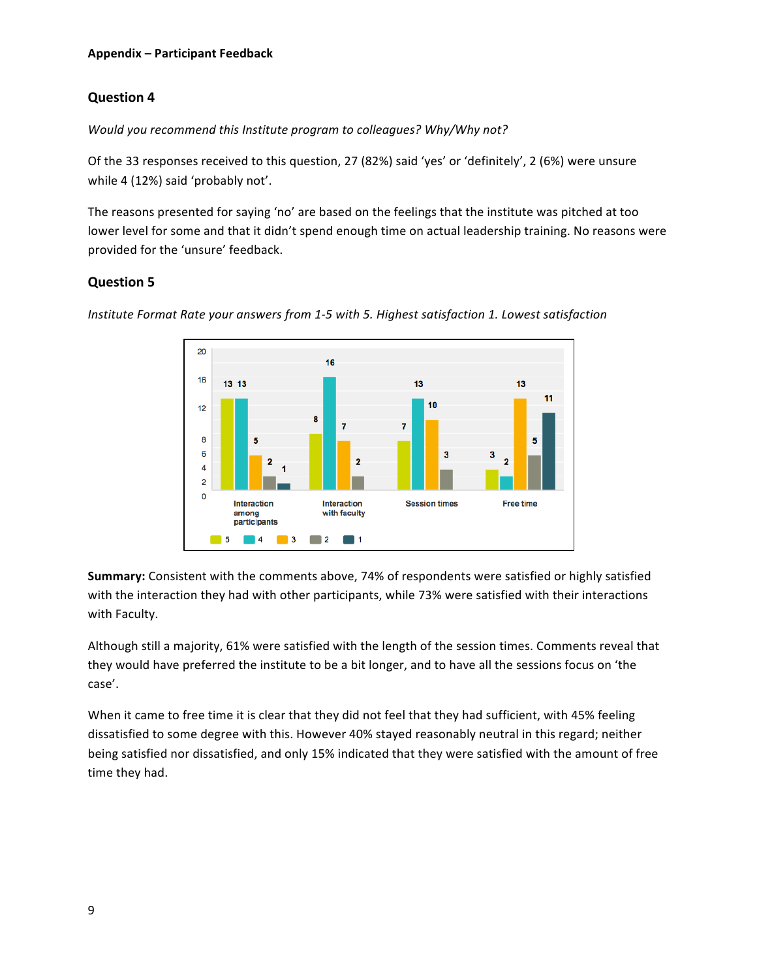# **Question 4**

*Would you recommend this Institute program to colleagues? Why/Why not?* 

Of the 33 responses received to this question, 27 (82%) said 'yes' or 'definitely', 2 (6%) were unsure while 4 (12%) said 'probably not'.

The reasons presented for saying 'no' are based on the feelings that the institute was pitched at too lower level for some and that it didn't spend enough time on actual leadership training. No reasons were provided for the 'unsure' feedback.

## **Question 5**



*Institute Format Rate your answers from 1-5 with 5. Highest satisfaction 1. Lowest satisfaction* 

**Summary:** Consistent with the comments above, 74% of respondents were satisfied or highly satisfied with the interaction they had with other participants, while 73% were satisfied with their interactions with Faculty.

Although still a majority, 61% were satisfied with the length of the session times. Comments reveal that they would have preferred the institute to be a bit longer, and to have all the sessions focus on 'the case'. 

When it came to free time it is clear that they did not feel that they had sufficient, with 45% feeling dissatisfied to some degree with this. However 40% stayed reasonably neutral in this regard; neither being satisfied nor dissatisfied, and only 15% indicated that they were satisfied with the amount of free time they had.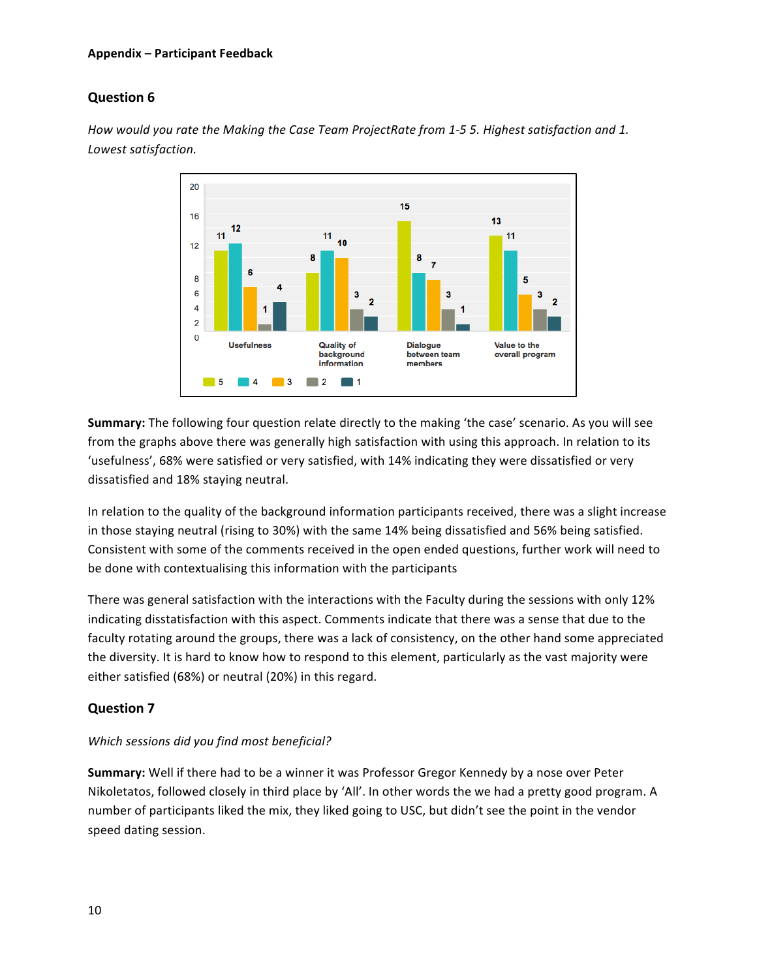#### **Appendix – Participant Feedback**

### **Question 6**

*How* would you rate the Making the Case Team ProjectRate from 1-5 5. Highest satisfaction and 1. *Lowest satisfaction.*



**Summary:** The following four question relate directly to the making 'the case' scenario. As you will see from the graphs above there was generally high satisfaction with using this approach. In relation to its 'usefulness', 68% were satisfied or very satisfied, with 14% indicating they were dissatisfied or very dissatisfied and 18% staying neutral.

In relation to the quality of the background information participants received, there was a slight increase in those staying neutral (rising to 30%) with the same 14% being dissatisfied and 56% being satisfied. Consistent with some of the comments received in the open ended questions, further work will need to be done with contextualising this information with the participants

There was general satisfaction with the interactions with the Faculty during the sessions with only 12% indicating disstatisfaction with this aspect. Comments indicate that there was a sense that due to the faculty rotating around the groups, there was a lack of consistency, on the other hand some appreciated the diversity. It is hard to know how to respond to this element, particularly as the vast majority were either satisfied (68%) or neutral (20%) in this regard.

### **Question 7**

#### Which sessions did you find most beneficial?

**Summary:** Well if there had to be a winner it was Professor Gregor Kennedy by a nose over Peter Nikoletatos, followed closely in third place by 'All'. In other words the we had a pretty good program. A number of participants liked the mix, they liked going to USC, but didn't see the point in the vendor speed dating session.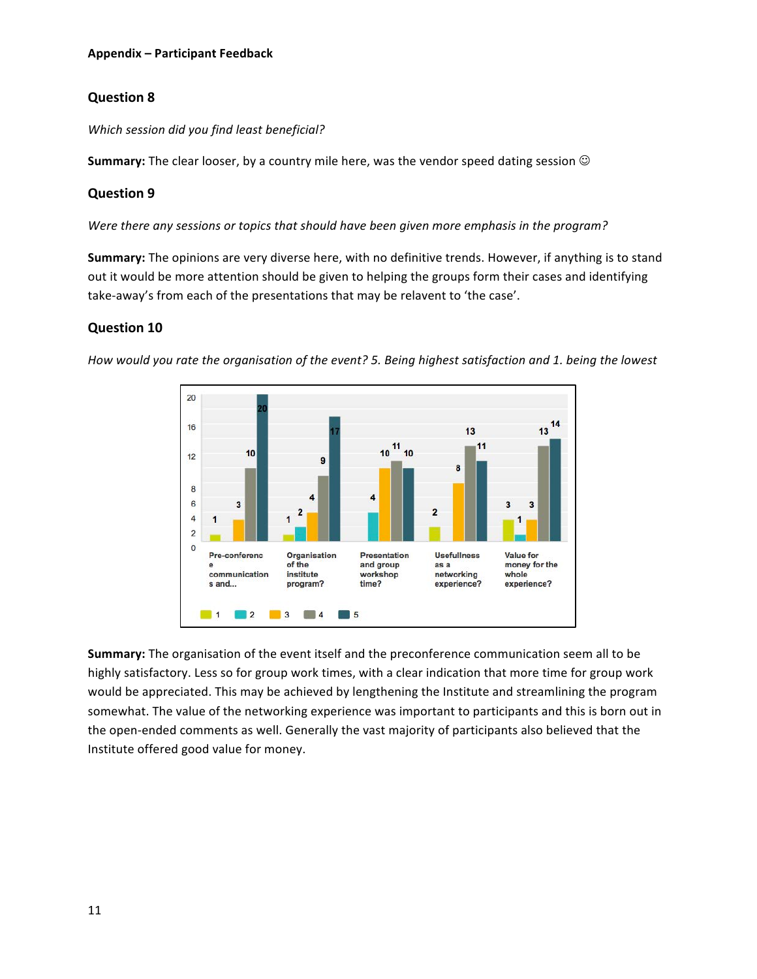# **Question 8**

### *Which session did you find least beneficial?*

**Summary:** The clear looser, by a country mile here, was the vendor speed dating session  $\odot$ 

## **Question 9**

Were there any sessions or topics that should have been given more emphasis in the program?

**Summary:** The opinions are very diverse here, with no definitive trends. However, if anything is to stand out it would be more attention should be given to helping the groups form their cases and identifying take-away's from each of the presentations that may be relavent to 'the case'.

### **Question 10**



*How* would you rate the organisation of the event? 5. Being highest satisfaction and 1. being the lowest

**Summary:** The organisation of the event itself and the preconference communication seem all to be highly satisfactory. Less so for group work times, with a clear indication that more time for group work would be appreciated. This may be achieved by lengthening the Institute and streamlining the program somewhat. The value of the networking experience was important to participants and this is born out in the open-ended comments as well. Generally the vast majority of participants also believed that the Institute offered good value for money.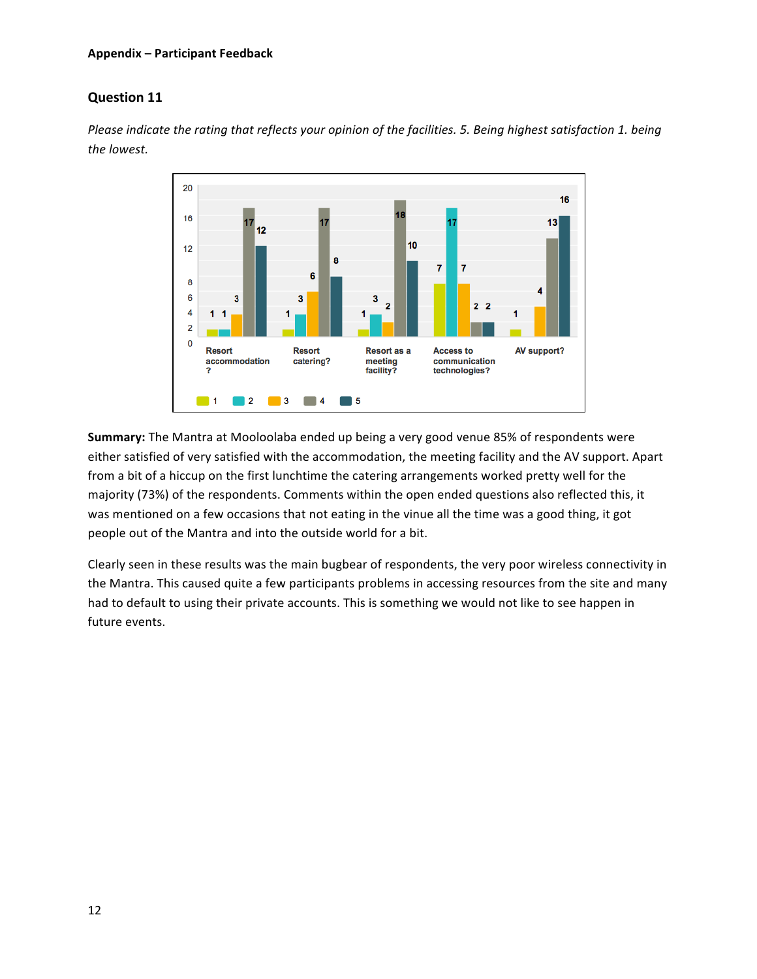#### **Appendix – Participant Feedback**

## **Question 11**

*Please indicate the rating that reflects your opinion of the facilities. 5. Being highest satisfaction 1. being the lowest.*



**Summary:** The Mantra at Mooloolaba ended up being a very good venue 85% of respondents were either satisfied of very satisfied with the accommodation, the meeting facility and the AV support. Apart from a bit of a hiccup on the first lunchtime the catering arrangements worked pretty well for the majority (73%) of the respondents. Comments within the open ended questions also reflected this, it was mentioned on a few occasions that not eating in the vinue all the time was a good thing, it got people out of the Mantra and into the outside world for a bit.

Clearly seen in these results was the main bugbear of respondents, the very poor wireless connectivity in the Mantra. This caused quite a few participants problems in accessing resources from the site and many had to default to using their private accounts. This is something we would not like to see happen in future events.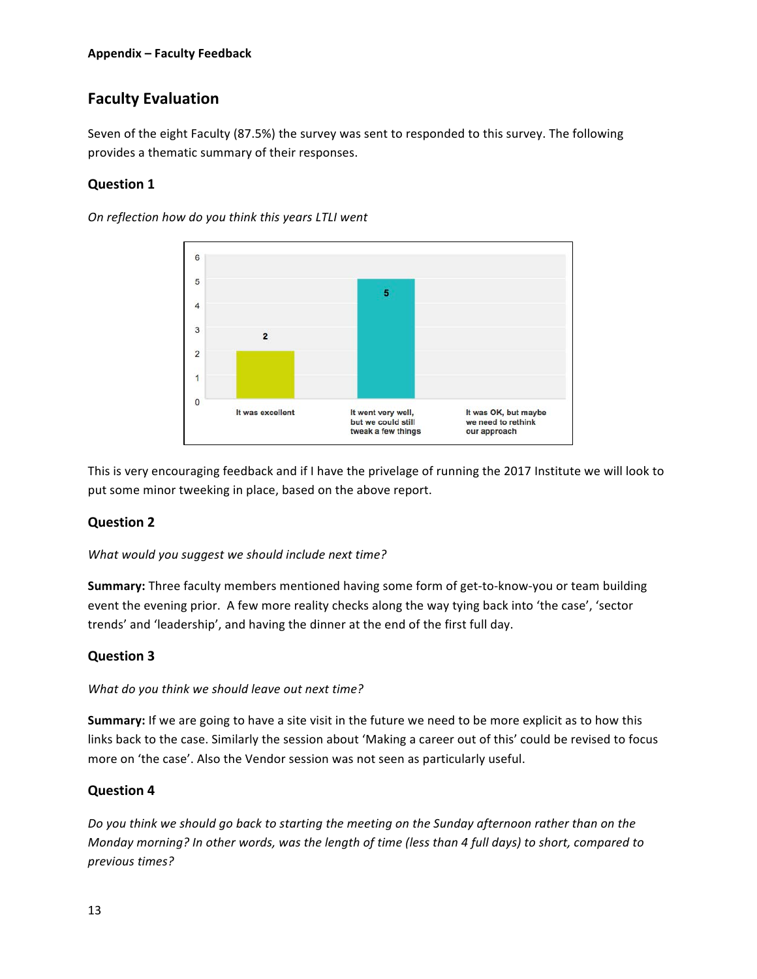# **Faculty Evaluation**

Seven of the eight Faculty (87.5%) the survey was sent to responded to this survey. The following provides a thematic summary of their responses.

## **Question 1**

*On reflection how do you think this years LTLI went*



This is very encouraging feedback and if I have the privelage of running the 2017 Institute we will look to put some minor tweeking in place, based on the above report.

### **Question 2**

What would you suggest we should include next time?

**Summary:** Three faculty members mentioned having some form of get-to-know-you or team building event the evening prior. A few more reality checks along the way tying back into 'the case', 'sector trends' and 'leadership', and having the dinner at the end of the first full day.

### **Question 3**

#### What do you think we should leave out next time?

**Summary:** If we are going to have a site visit in the future we need to be more explicit as to how this links back to the case. Similarly the session about 'Making a career out of this' could be revised to focus more on 'the case'. Also the Vendor session was not seen as particularly useful.

### **Question 4**

Do you think we should go back to starting the meeting on the Sunday afternoon rather than on the *Monday morning? In other words, was the length of time (less than 4 full days) to short, compared to previous times?*